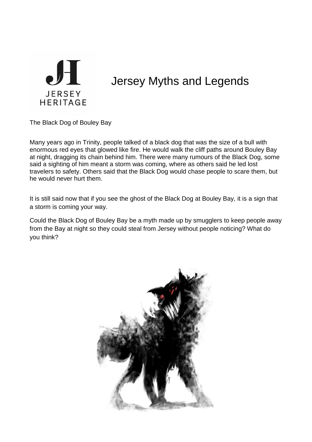

## Jersey Myths and Legends

The Black Dog of Bouley Bay

Many years ago in Trinity, people talked of a black dog that was the size of a bull with enormous red eyes that glowed like fire. He would walk the cliff paths around Bouley Bay at night, dragging its chain behind him. There were many rumours of the Black Dog, some said a sighting of him meant a storm was coming, where as others said he led lost travelers to safety. Others said that the Black Dog would chase people to scare them, but he would never hurt them.

It is still said now that if you see the ghost of the Black Dog at Bouley Bay, it is a sign that a storm is coming your way.

Could the Black Dog of Bouley Bay be a myth made up by smugglers to keep people away from the Bay at night so they could steal from Jersey without people noticing? What do you think?

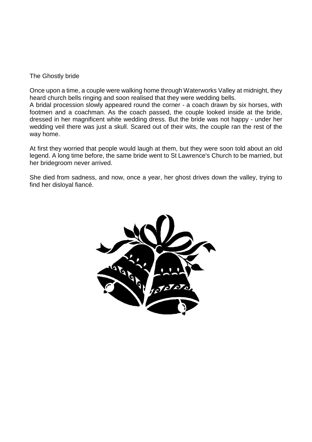## The Ghostly bride

Once upon a time, a couple were walking home through Waterworks Valley at midnight, they heard church bells ringing and soon realised that they were wedding bells.

A bridal procession slowly appeared round the corner - a coach drawn by six horses, with footmen and a coachman. As the coach passed, the couple looked inside at the bride, dressed in her magnificent white wedding dress. But the bride was not happy - under her wedding veil there was just a skull. Scared out of their wits, the couple ran the rest of the way home.

At first they worried that people would laugh at them, but they were soon told about an old legend. A long time before, the same bride went to St Lawrence's Church to be married, but her bridegroom never arrived.

She died from sadness, and now, once a year, her ghost drives down the valley, trying to find her disloyal fiancé.

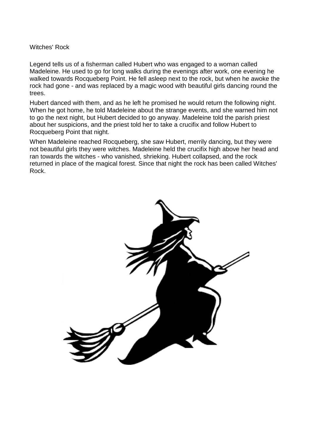## Witches' Rock

Legend tells us of a fisherman called Hubert who was engaged to a woman called Madeleine. He used to go for long walks during the evenings after work, one evening he walked towards Rocqueberg Point. He fell asleep next to the rock, but when he awoke the rock had gone - and was replaced by a magic wood with beautiful girls dancing round the trees.

Hubert danced with them, and as he left he promised he would return the following night. When he got home, he told Madeleine about the strange events, and she warned him not to go the next night, but Hubert decided to go anyway. Madeleine told the parish priest about her suspicions, and the priest told her to take a crucifix and follow Hubert to Rocqueberg Point that night.

When Madeleine reached Rocqueberg, she saw Hubert, merrily dancing, but they were not beautiful girls they were witches. Madeleine held the crucifix high above her head and ran towards the witches - who vanished, shrieking. Hubert collapsed, and the rock returned in place of the magical forest. Since that night the rock has been called Witches' Rock.

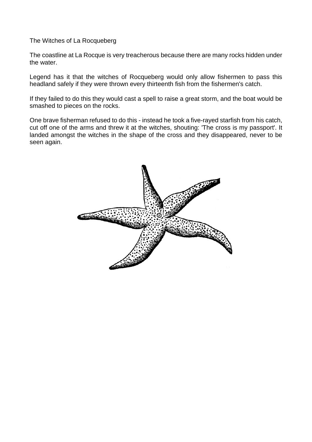The Witches of La Rocqueberg

The coastline at La Rocque is very treacherous because there are many rocks hidden under the water.

Legend has it that the witches of Rocqueberg would only allow fishermen to pass this headland safely if they were thrown every thirteenth fish from the fishermen's catch.

If they failed to do this they would cast a spell to raise a great storm, and the boat would be smashed to pieces on the rocks.

One brave fisherman refused to do this - instead he took a five-rayed starfish from his catch, cut off one of the arms and threw it at the witches, shouting: 'The cross is my passport'. It landed amongst the witches in the shape of the cross and they disappeared, never to be seen again.

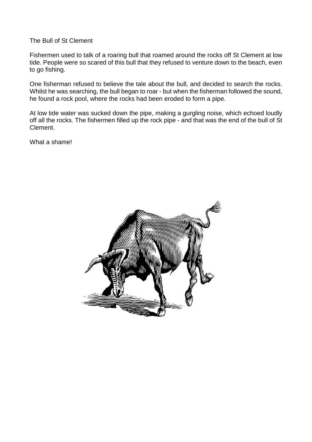The Bull of St Clement

Fishermen used to talk of a roaring bull that roamed around the rocks off St Clement at low tide. People were so scared of this bull that they refused to venture down to the beach, even to go fishing.

One fisherman refused to believe the tale about the bull, and decided to search the rocks. Whilst he was searching, the bull began to roar - but when the fisherman followed the sound, he found a rock pool, where the rocks had been eroded to form a pipe.

At low tide water was sucked down the pipe, making a gurgling noise, which echoed loudly off all the rocks. The fishermen filled up the rock pipe - and that was the end of the bull of St Clement.

What a shame!

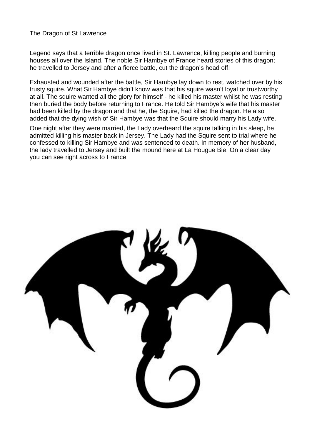The Dragon of St Lawrence

Legend says that a terrible dragon once lived in St. Lawrence, killing people and burning houses all over the Island. The noble Sir Hambye of France heard stories of this dragon; he travelled to Jersey and after a fierce battle, cut the dragon's head off!

Exhausted and wounded after the battle, Sir Hambye lay down to rest, watched over by his trusty squire. What Sir Hambye didn't know was that his squire wasn't loyal or trustworthy at all. The squire wanted all the glory for himself - he killed his master whilst he was resting then buried the body before returning to France. He told Sir Hambye's wife that his master had been killed by the dragon and that he, the Squire, had killed the dragon. He also added that the dying wish of Sir Hambye was that the Squire should marry his Lady wife.

One night after they were married, the Lady overheard the squire talking in his sleep, he admitted killing his master back in Jersey. The Lady had the Squire sent to trial where he confessed to killing Sir Hambye and was sentenced to death. In memory of her husband, the lady travelled to Jersey and built the mound here at La Hougue Bie. On a clear day you can see right across to France.

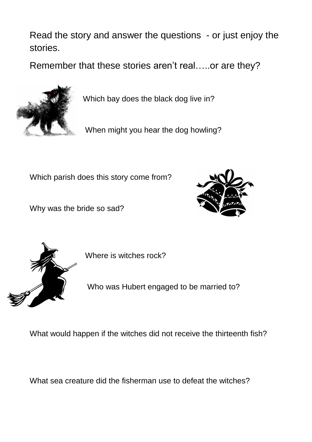Read the story and answer the questions - or just enjoy the stories.

Remember that these stories aren't real…..or are they?



Which bay does the black dog live in?

When might you hear the dog howling?

Which parish does this story come from?

Why was the bride so sad?





Where is witches rock?

Who was Hubert engaged to be married to?

What would happen if the witches did not receive the thirteenth fish?

What sea creature did the fisherman use to defeat the witches?